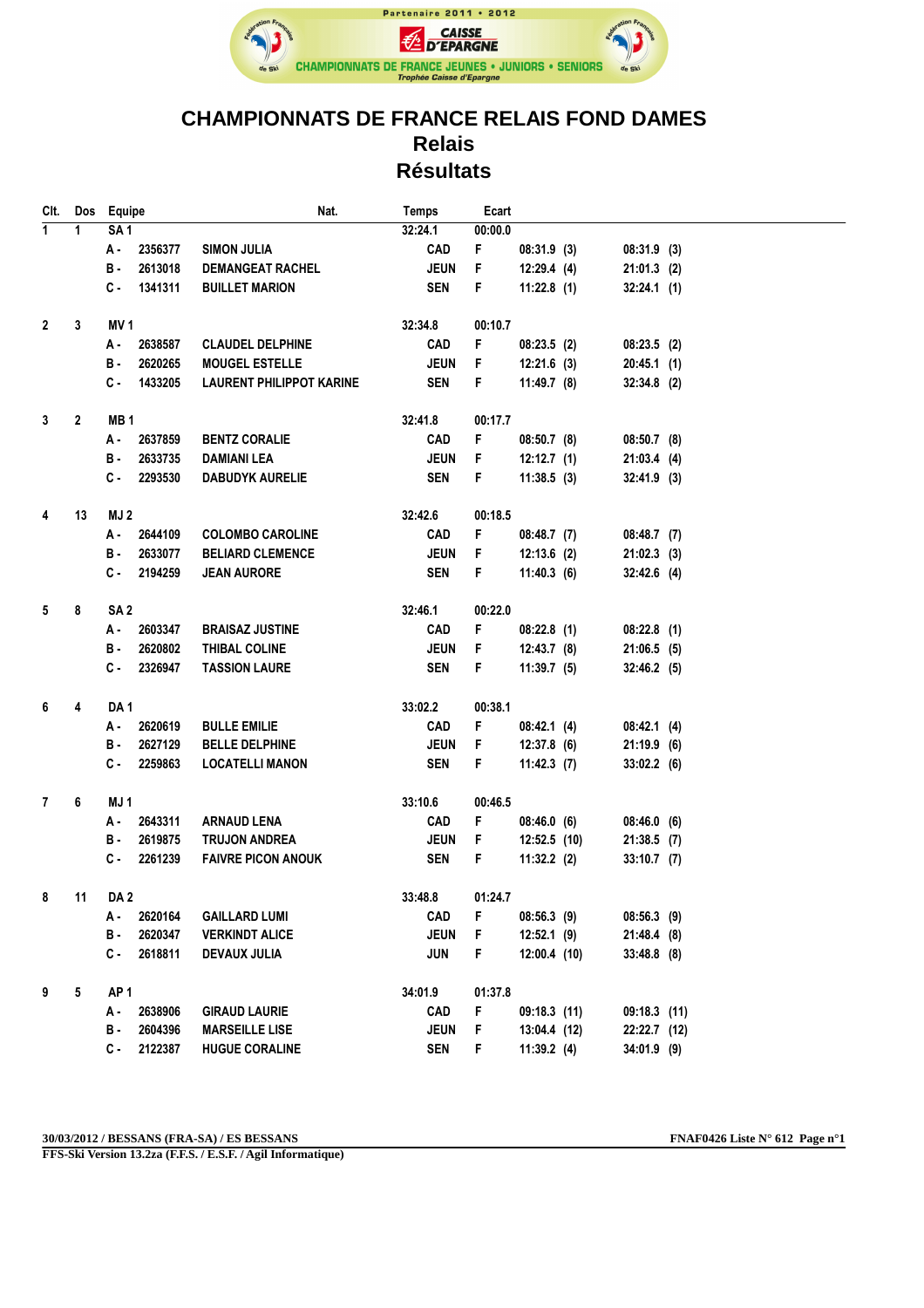

## **CHAMPIONNATS DE FRANCE RELAIS FOND DAMES Relais Résultats**

| CIt.         | Dos          | Equipe          |         | Nat.                            | <b>Temps</b> | Ecart   |                |               |  |
|--------------|--------------|-----------------|---------|---------------------------------|--------------|---------|----------------|---------------|--|
| $\mathbf{1}$ | 1            | SA <sub>1</sub> |         |                                 | 32:24.1      | 00:00.0 |                |               |  |
|              |              | А -             | 2356377 | <b>SIMON JULIA</b>              | <b>CAD</b>   | F       | 08:31.9(3)     | $08:31.9$ (3) |  |
|              |              | в.              | 2613018 | <b>DEMANGEAT RACHEL</b>         | <b>JEUN</b>  | F       | 12:29.4(4)     | $21:01.3$ (2) |  |
|              |              | $c -$           | 1341311 | <b>BUILLET MARION</b>           | <b>SEN</b>   | F       | 11:22.8(1)     | $32:24.1$ (1) |  |
|              |              |                 |         |                                 |              |         |                |               |  |
| $\mathbf{2}$ | $\mathbf{3}$ | MV <sub>1</sub> |         |                                 | 32:34.8      | 00:10.7 |                |               |  |
|              |              | А -             | 2638587 | <b>CLAUDEL DELPHINE</b>         | <b>CAD</b>   | F       | 08:23.5(2)     | 08:23.5(2)    |  |
|              |              | в.              | 2620265 | <b>MOUGEL ESTELLE</b>           | <b>JEUN</b>  | F       | $12:21.6$ (3)  | $20:45.1$ (1) |  |
|              |              | $c -$           | 1433205 | <b>LAURENT PHILIPPOT KARINE</b> | <b>SEN</b>   | F       | $11:49.7$ (8)  | $32:34.8$ (2) |  |
|              |              |                 |         |                                 |              |         |                |               |  |
| 3            | $\mathbf{2}$ | MB <sub>1</sub> |         |                                 | 32:41.8      | 00:17.7 |                |               |  |
|              |              | А.              | 2637859 | <b>BENTZ CORALIE</b>            | <b>CAD</b>   | F       | 08:50.7(8)     | $08:50.7$ (8) |  |
|              |              | в.              | 2633735 | <b>DAMIANI LEA</b>              | <b>JEUN</b>  | F       | 12:12.7(1)     | 21:03.4(4)    |  |
|              |              | C.              | 2293530 | <b>DABUDYK AURELIE</b>          | <b>SEN</b>   | F       | 11:38.5(3)     | $32:41.9$ (3) |  |
| 4            | 13           | MJ 2            |         |                                 | 32:42.6      | 00:18.5 |                |               |  |
|              |              | А.              | 2644109 | <b>COLOMBO CAROLINE</b>         | <b>CAD</b>   | F       | 08:48.7(7)     | $08:48.7$ (7) |  |
|              |              | в.              | 2633077 | <b>BELIARD CLEMENCE</b>         | <b>JEUN</b>  | F       | $12:13.6$ (2)  | $21:02.3$ (3) |  |
|              |              | С.              | 2194259 | <b>JEAN AURORE</b>              | <b>SEN</b>   | F       | 11:40.3(6)     | $32:42.6$ (4) |  |
|              |              |                 |         |                                 |              |         |                |               |  |
| 5            | 8            | SA <sub>2</sub> |         |                                 | 32:46.1      | 00:22.0 |                |               |  |
|              |              | А.              | 2603347 | <b>BRAISAZ JUSTINE</b>          | <b>CAD</b>   | F       | 08:22.8(1)     | 08:22.8(1)    |  |
|              |              | в.              | 2620802 | THIBAL COLINE                   | <b>JEUN</b>  | F       | 12:43.7(8)     | $21:06.5$ (5) |  |
|              |              | с.              | 2326947 | <b>TASSION LAURE</b>            | <b>SEN</b>   | F       | 11:39.7(5)     | $32:46.2$ (5) |  |
|              |              |                 |         |                                 |              |         |                |               |  |
| 6            | 4            | DA <sub>1</sub> |         |                                 | 33:02.2      | 00:38.1 |                |               |  |
|              |              | А -             | 2620619 | <b>BULLE EMILIE</b>             | CAD          | F       | 08:42.1(4)     | 08:42.1(4)    |  |
|              |              | в.              | 2627129 | <b>BELLE DELPHINE</b>           | <b>JEUN</b>  | F       | 12:37.8(6)     | $21:19.9$ (6) |  |
|              |              | С.              | 2259863 | <b>LOCATELLI MANON</b>          | <b>SEN</b>   | F       | $11:42.3$ (7)  | $33:02.2$ (6) |  |
| $\mathbf{7}$ | 6            | MJ <sub>1</sub> |         |                                 | 33:10.6      | 00:46.5 |                |               |  |
|              |              | А.              | 2643311 | <b>ARNAUD LENA</b>              | <b>CAD</b>   | F       | 08:46.0(6)     | $08:46.0$ (6) |  |
|              |              | в.              | 2619875 | <b>TRUJON ANDREA</b>            | <b>JEUN</b>  | F       | $12:52.5$ (10) | $21:38.5$ (7) |  |
|              |              | С.              | 2261239 | <b>FAIVRE PICON ANOUK</b>       | <b>SEN</b>   | F       | 11:32.2(2)     | $33:10.7$ (7) |  |
|              |              |                 |         |                                 |              |         |                |               |  |
| 8            | 11           | DA 2            |         |                                 | 33:48.8      | 01:24.7 |                |               |  |
|              |              | А -             | 2620164 | <b>GAILLARD LUMI</b>            | <b>CAD</b>   | F       | 08:56.3(9)     | $08:56.3$ (9) |  |
|              |              | <b>B</b> -      | 2620347 | <b>VERKINDT ALICE</b>           | <b>JEUN</b>  | F       | $12:52.1$ (9)  | 21:48.4 (8)   |  |
|              |              | c.              | 2618811 | <b>DEVAUX JULIA</b>             | <b>JUN</b>   | F       | 12:00.4 (10)   | $33:48.8$ (8) |  |
| 9            | 5            | AP <sub>1</sub> |         |                                 | 34:01.9      | 01:37.8 |                |               |  |
|              |              | А.              | 2638906 | <b>GIRAUD LAURIE</b>            | <b>CAD</b>   | F       | 09:18.3 (11)   | 09:18.3 (11)  |  |
|              |              | в.              | 2604396 | <b>MARSEILLE LISE</b>           | <b>JEUN</b>  | F       | 13:04.4 (12)   | 22:22.7 (12)  |  |
|              |              | c.              | 2122387 | <b>HUGUE CORALINE</b>           | <b>SEN</b>   | F       | 11:39.2(4)     | 34:01.9 (9)   |  |
|              |              |                 |         |                                 |              |         |                |               |  |

**30/03/2012 / BESSANS (FRA-SA) / ES BESSANS FNAF0426 Liste N° 612 Page n°1**

**FFS-Ski Version 13.2za (F.F.S. / E.S.F. / Agil Informatique)**